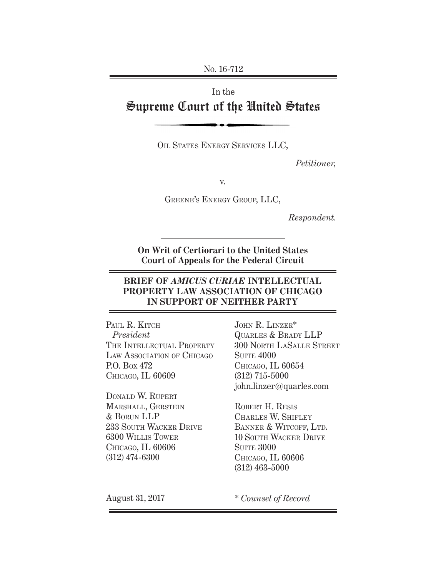No. 16-712

# In the Supreme Court of the United States

OIL STATES ENERGY SERVICES LLC,

*Petitioner,*

v.

Greene's Energy Group, LLC,

*Respondent.*

**On Writ of Certiorari to the United States Court of Appeals for the Federal Circuit**

### **BRIEF OF** *AMICUS CURIAE* **INTELLECTUAL PROPERTY LAW ASSOCIATION OF CHICAGO IN SUPPORT OF NEITHER PARTY**

PAUL R. KITCH *President* THE INTELLECTUAL PROPERTY LAW ASSOCIATION OF CHICAGO P.O. Box 472 Chicago, IL 60609

Donald W. Rupert Marshall, Gerstein & Borun LLP 233 South Wacker Drive 6300 Willis Tower Chicago, IL 60606 (312) 474-6300

John R. Linzer\* Quarles & Brady LLP 300 North LaSalle Street **SUITE 4000** Chicago, IL 60654 (312) 715-5000 john.linzer@quarles.com

ROBERT H. RESIS Charles W. Shifley BANNER & WITCOFF, LTD. 10 South Wacker Drive **SUITE 3000** Chicago, IL 60606 (312) 463-5000

August 31, 2017

*\* Counsel of Record*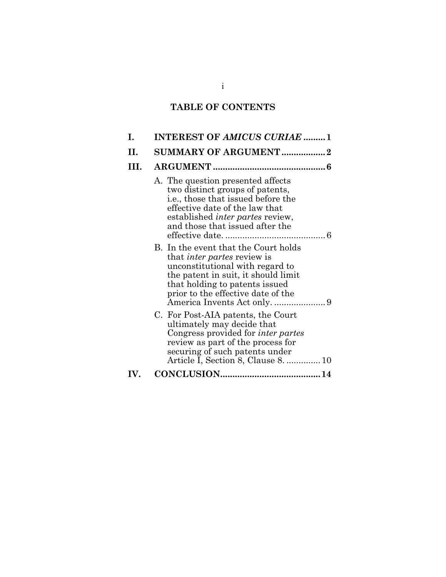# **TABLE OF CONTENTS**

| Ι.  | <b>INTEREST OF AMICUS CURIAE 1</b>                                                                                                                                                                                                 |  |  |  |
|-----|------------------------------------------------------------------------------------------------------------------------------------------------------------------------------------------------------------------------------------|--|--|--|
| H.  | <b>SUMMARY OF ARGUMENT2</b>                                                                                                                                                                                                        |  |  |  |
| HL. |                                                                                                                                                                                                                                    |  |  |  |
|     | A. The question presented affects<br>two distinct groups of patents,<br><i>i.e.</i> , those that issued before the<br>effective date of the law that<br>established <i>inter partes</i> review,<br>and those that issued after the |  |  |  |
|     | B. In the event that the Court holds<br>that <i>inter partes</i> review is<br>unconstitutional with regard to<br>the patent in suit, it should limit<br>that holding to patents issued<br>prior to the effective date of the       |  |  |  |
|     | C. For Post-AIA patents, the Court<br>ultimately may decide that<br>Congress provided for <i>inter partes</i><br>review as part of the process for<br>securing of such patents under<br>Article I, Section 8, Clause 8.  10        |  |  |  |
| IV. |                                                                                                                                                                                                                                    |  |  |  |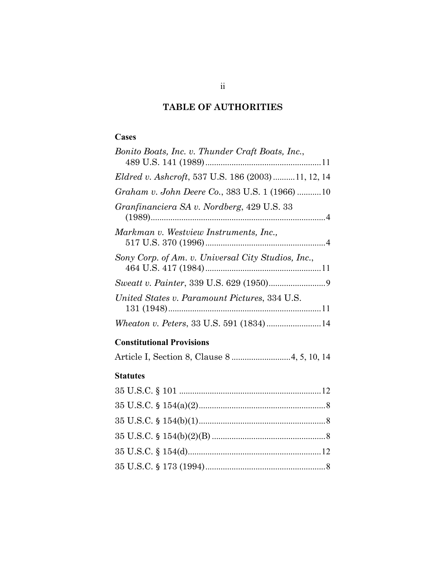## **TABLE OF AUTHORITIES**

### **Cases**

| Bonito Boats, Inc. v. Thunder Craft Boats, Inc.,          |
|-----------------------------------------------------------|
|                                                           |
| <i>Eldred v. Ashcroft, 537 U.S. 186 (2003) 11, 12, 14</i> |
| Graham v. John Deere Co., 383 U.S. 1 (1966) 10            |
| Granfinanciera SA v. Nordberg, 429 U.S. 33                |
|                                                           |
| Markman v. Westview Instruments, Inc.,                    |
|                                                           |
| Sony Corp. of Am. v. Universal City Studios, Inc.,        |
|                                                           |
|                                                           |
| United States v. Paramount Pictures, 334 U.S.             |
|                                                           |
|                                                           |

## **Constitutional Provisions**

|--|--|--|--|

#### **Statutes**

| 35 U.S.C. $\frac{154(b)(2)(B) \dots (266(b)(26)(B)}{266(b)(26)(B) \dots (266(b)(B) \dots (266(b)(B) \dots (266(b)(B) \dots (266(b)(B) \dots (266(b)(B) \dots (266(b)(B) \dots (266(b)(B) \dots (266(b)(B) \dots (266(b)(B) \dots (266(b)(B) \dots (266(b)(B) \dots (266(b)(B) \dots (266(b)(B) \dots (266(b)(B) \dots (266(b)(B) \dots (266(b)(B) \dots (266(b)(B) \dots (2$ |  |
|------------------------------------------------------------------------------------------------------------------------------------------------------------------------------------------------------------------------------------------------------------------------------------------------------------------------------------------------------------------------------|--|
|                                                                                                                                                                                                                                                                                                                                                                              |  |
|                                                                                                                                                                                                                                                                                                                                                                              |  |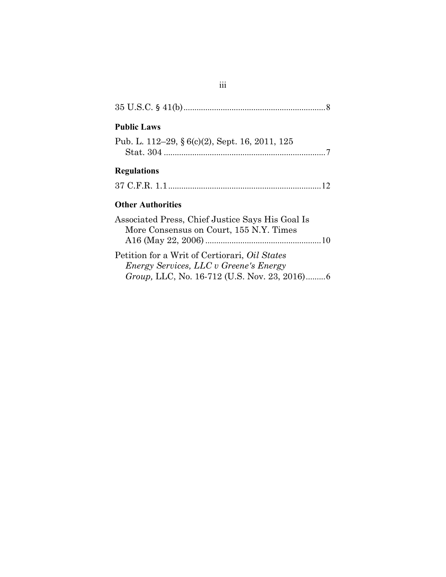| 8                                                                                                                                                      |
|--------------------------------------------------------------------------------------------------------------------------------------------------------|
| <b>Public Laws</b>                                                                                                                                     |
| Pub. L. 112–29, § 6(c)(2), Sept. 16, 2011, 125                                                                                                         |
| <b>Regulations</b>                                                                                                                                     |
|                                                                                                                                                        |
| <b>Other Authorities</b>                                                                                                                               |
| Associated Press, Chief Justice Says His Goal Is<br>More Consensus on Court, 155 N.Y. Times                                                            |
| Petition for a Writ of Certiorari, <i>Oil States</i><br>Energy Services, LLC v Greene's Energy<br><i>Group</i> , LLC, No. 16-712 (U.S. Nov. 23, 2016)6 |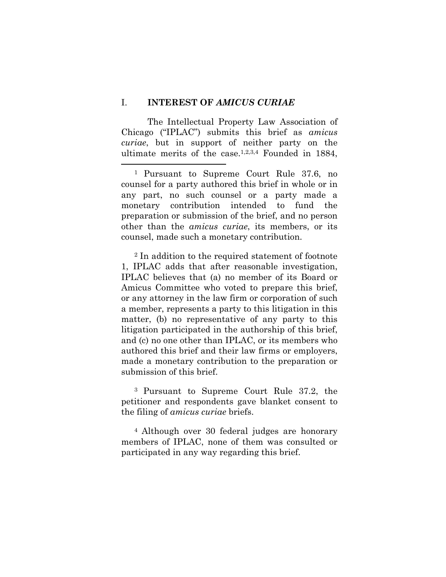#### I. **INTEREST OF** *AMICUS CURIAE*

 $\overline{a}$ 

The Intellectual Property Law Association of Chicago ("IPLAC") submits this brief as *amicus curiae*, but in support of neither party on the ultimate merits of the case.1,2,3,4 Founded in 1884,

<sup>1</sup> Pursuant to Supreme Court Rule 37.6, no counsel for a party authored this brief in whole or in any part, no such counsel or a party made a monetary contribution intended to fund the preparation or submission of the brief, and no person other than the *amicus curiae*, its members, or its counsel, made such a monetary contribution.

<sup>2</sup> In addition to the required statement of footnote 1, IPLAC adds that after reasonable investigation, IPLAC believes that (a) no member of its Board or Amicus Committee who voted to prepare this brief, or any attorney in the law firm or corporation of such a member, represents a party to this litigation in this matter, (b) no representative of any party to this litigation participated in the authorship of this brief, and (c) no one other than IPLAC, or its members who authored this brief and their law firms or employers, made a monetary contribution to the preparation or submission of this brief.

<sup>3</sup> Pursuant to Supreme Court Rule 37.2, the petitioner and respondents gave blanket consent to the filing of *amicus curiae* briefs.

<sup>4</sup> Although over 30 federal judges are honorary members of IPLAC, none of them was consulted or participated in any way regarding this brief.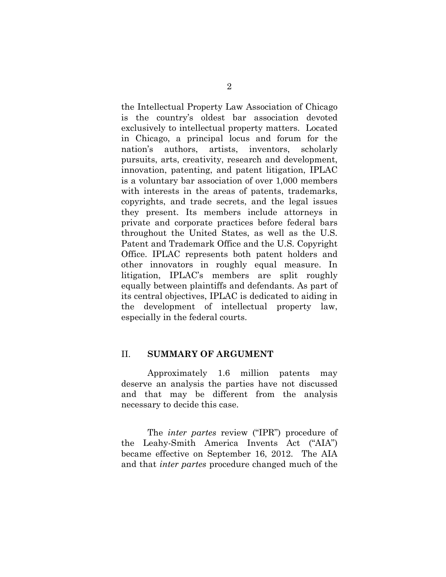the Intellectual Property Law Association of Chicago is the country's oldest bar association devoted exclusively to intellectual property matters. Located in Chicago, a principal locus and forum for the nation's authors, artists, inventors, scholarly pursuits, arts, creativity, research and development, innovation, patenting, and patent litigation, IPLAC is a voluntary bar association of over 1,000 members with interests in the areas of patents, trademarks, copyrights, and trade secrets, and the legal issues they present. Its members include attorneys in private and corporate practices before federal bars throughout the United States, as well as the U.S. Patent and Trademark Office and the U.S. Copyright Office. IPLAC represents both patent holders and other innovators in roughly equal measure. In litigation, IPLAC's members are split roughly equally between plaintiffs and defendants. As part of its central objectives, IPLAC is dedicated to aiding in the development of intellectual property law, especially in the federal courts.

#### II. **SUMMARY OF ARGUMENT**

Approximately 1.6 million patents may deserve an analysis the parties have not discussed and that may be different from the analysis necessary to decide this case.

The *inter partes* review ("IPR") procedure of the Leahy-Smith America Invents Act ("AIA") became effective on September 16, 2012. The AIA and that *inter partes* procedure changed much of the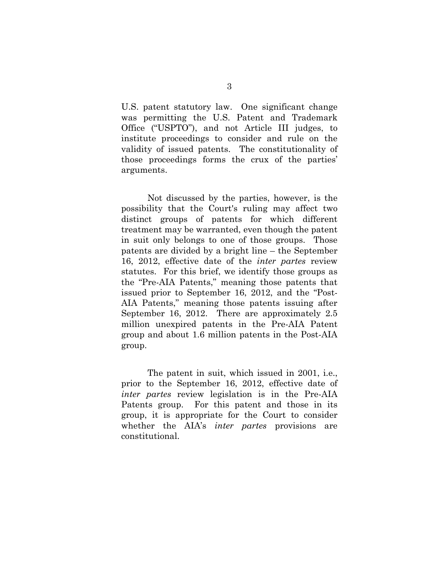U.S. patent statutory law. One significant change was permitting the U.S. Patent and Trademark Office ("USPTO"), and not Article III judges, to institute proceedings to consider and rule on the validity of issued patents. The constitutionality of those proceedings forms the crux of the parties' arguments.

Not discussed by the parties, however, is the possibility that the Court's ruling may affect two distinct groups of patents for which different treatment may be warranted, even though the patent in suit only belongs to one of those groups. Those patents are divided by a bright line – the September 16, 2012, effective date of the *inter partes* review statutes. For this brief, we identify those groups as the "Pre-AIA Patents," meaning those patents that issued prior to September 16, 2012, and the "Post-AIA Patents," meaning those patents issuing after September 16, 2012. There are approximately 2.5 million unexpired patents in the Pre-AIA Patent group and about 1.6 million patents in the Post-AIA group.

The patent in suit, which issued in 2001, i.e., prior to the September 16, 2012, effective date of *inter partes* review legislation is in the Pre-AIA Patents group. For this patent and those in its group, it is appropriate for the Court to consider whether the AIA's *inter partes* provisions are constitutional.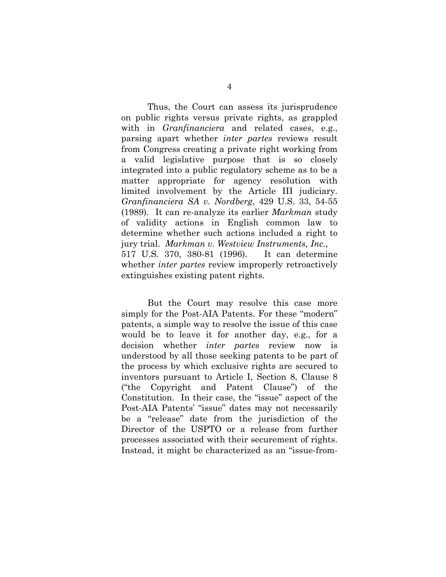Thus, the Court can assess its jurisprudence on public rights versus private rights, as grappled with in *Granfinanciera* and related cases, e.g., parsing apart whether *inter partes* reviews result from Congress creating a private right working from a valid legislative purpose that is so closely integrated into a public regulatory scheme as to be a matter appropriate for agency resolution with limited involvement by the Article III judiciary. *Granfinanciera SA v. Nordberg*, 429 U.S. 33, 54-55 (1989). It can re-analyze its earlier *Markman* study of validity actions in English common law to determine whether such actions included a right to jury trial. *Markman v. Westview Instruments, Inc.*, 517 U.S. 370, 380-81 (1996). It can determine whether *inter partes* review improperly retroactively extinguishes existing patent rights.

But the Court may resolve this case more simply for the Post-AIA Patents. For these "modern" patents, a simple way to resolve the issue of this case would be to leave it for another day, e.g., for a decision whether *inter partes* review now is understood by all those seeking patents to be part of the process by which exclusive rights are secured to inventors pursuant to Article I, Section 8, Clause 8 ("the Copyright and Patent Clause") of the Constitution. In their case, the "issue" aspect of the Post-AIA Patents' "issue" dates may not necessarily be a "release" date from the jurisdiction of the Director of the USPTO or a release from further processes associated with their securement of rights. Instead, it might be characterized as an "issue-from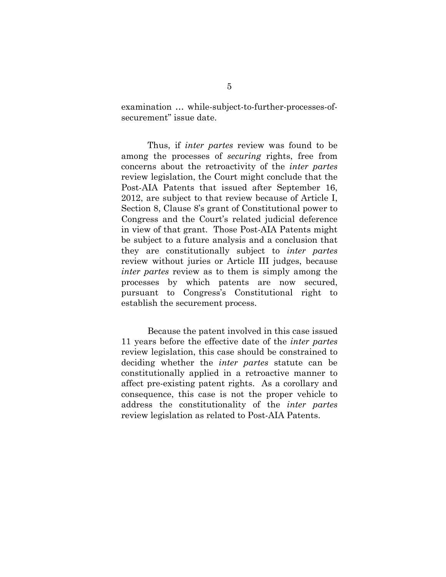examination … while-subject-to-further-processes-ofsecurement" issue date.

Thus, if *inter partes* review was found to be among the processes of *securing* rights, free from concerns about the retroactivity of the *inter partes* review legislation, the Court might conclude that the Post-AIA Patents that issued after September 16, 2012, are subject to that review because of Article I, Section 8, Clause 8's grant of Constitutional power to Congress and the Court's related judicial deference in view of that grant. Those Post-AIA Patents might be subject to a future analysis and a conclusion that they are constitutionally subject to *inter partes* review without juries or Article III judges, because *inter partes* review as to them is simply among the processes by which patents are now secured, pursuant to Congress's Constitutional right to establish the securement process.

Because the patent involved in this case issued 11 years before the effective date of the *inter partes* review legislation, this case should be constrained to deciding whether the *inter partes* statute can be constitutionally applied in a retroactive manner to affect pre-existing patent rights. As a corollary and consequence, this case is not the proper vehicle to address the constitutionality of the *inter partes* review legislation as related to Post-AIA Patents.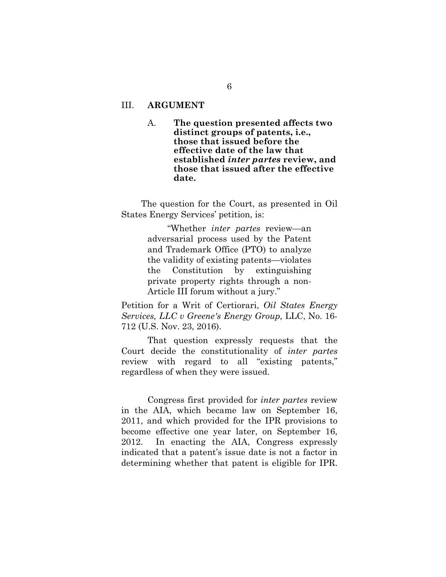#### III. **ARGUMENT**

A. **The question presented affects two distinct groups of patents, i.e., those that issued before the effective date of the law that established** *inter partes* **review, and those that issued after the effective date.** 

The question for the Court, as presented in Oil States Energy Services' petition, is:

> "Whether *inter partes* review—an adversarial process used by the Patent and Trademark Office (PTO) to analyze the validity of existing patents—violates the Constitution by extinguishing private property rights through a non-Article III forum without a jury."

Petition for a Writ of Certiorari, *Oil States Energy Services, LLC v Greene's Energy Group,* LLC, No. 16- 712 (U.S. Nov. 23, 2016).

That question expressly requests that the Court decide the constitutionality of *inter partes* review with regard to all "existing patents," regardless of when they were issued.

Congress first provided for *inter partes* review in the AIA, which became law on September 16, 2011, and which provided for the IPR provisions to become effective one year later, on September 16, 2012. In enacting the AIA, Congress expressly indicated that a patent's issue date is not a factor in determining whether that patent is eligible for IPR.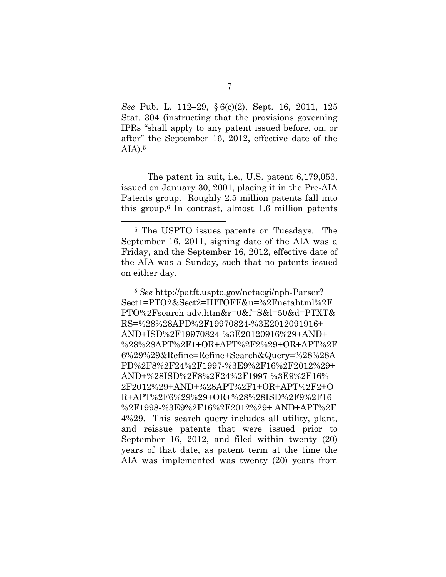*See* Pub. L. 112–29, § 6(c)(2), Sept. 16, 2011, 125 Stat. 304 (instructing that the provisions governing IPRs "shall apply to any patent issued before, on, or after" the September 16, 2012, effective date of the  $AIA$ ).<sup>5</sup>

The patent in suit, i.e., U.S. patent 6,179,053, issued on January 30, 2001, placing it in the Pre-AIA Patents group. Roughly 2.5 million patents fall into this group.6 In contrast, almost 1.6 million patents

 $\overline{a}$ 

<sup>6</sup> *See* http://patft.uspto.gov/netacgi/nph-Parser? Sect1=PTO2&Sect2=HITOFF&u=%2Fnetahtml%2F PTO%2Fsearch-adv.htm&r=0&f=S&l=50&d=PTXT& RS=%28%28APD%2F19970824-%3E2012091916+ AND+ISD%2F19970824-%3E20120916%29+AND+ %28%28APT%2F1+OR+APT%2F2%29+OR+APT%2F 6%29%29&Refine=Refine+Search&Query=%28%28A PD%2F8%2F24%2F1997-%3E9%2F16%2F2012%29+ AND+%28ISD%2F8%2F24%2F1997-%3E9%2F16% 2F2012%29+AND+%28APT%2F1+OR+APT%2F2+O R+APT%2F6%29%29+OR+%28%28ISD%2F9%2F16 %2F1998-%3E9%2F16%2F2012%29+ AND+APT%2F 4%29. This search query includes all utility, plant, and reissue patents that were issued prior to September 16, 2012, and filed within twenty (20) years of that date, as patent term at the time the AIA was implemented was twenty (20) years from

<sup>5</sup> The USPTO issues patents on Tuesdays. The September 16, 2011, signing date of the AIA was a Friday, and the September 16, 2012, effective date of the AIA was a Sunday, such that no patents issued on either day.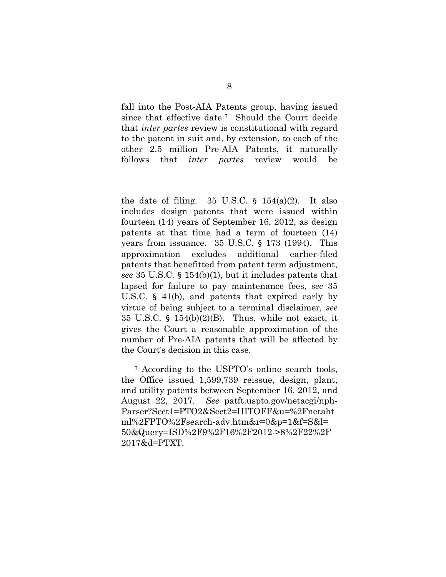fall into the Post-AIA Patents group, having issued since that effective date.7 Should the Court decide that *inter partes* review is constitutional with regard to the patent in suit and, by extension, to each of the other 2.5 million Pre-AIA Patents, it naturally follows that *inter partes* review would be

1

the date of filing.  $35 \text{ U.S.C. }$  §  $154(a)(2)$ . It also includes design patents that were issued within fourteen (14) years of September 16, 2012, as design patents at that time had a term of fourteen (14) years from issuance. 35 U.S.C. § 173 (1994). This approximation excludes additional earlier-filed patents that benefitted from patent term adjustment, *see* 35 U.S.C. § 154(b)(1), but it includes patents that lapsed for failure to pay maintenance fees, *see* 35 U.S.C. § 41(b), and patents that expired early by virtue of being subject to a terminal disclaimer*, see* 35 U.S.C.  $\S$  154(b)(2)(B). Thus, while not exact, it gives the Court a reasonable approximation of the number of Pre-AIA patents that will be affected by the Court's decision in this case.

7 According to the USPTO's online search tools, the Office issued 1,599,739 reissue, design, plant, and utility patents between September 16, 2012, and August 22, 2017. *See* patft.uspto.gov/netacgi/nph-Parser?Sect1=PTO2&Sect2=HITOFF&u=%2Fnetaht ml%2FPTO%2Fsearch-adv.htm&r=0&p=1&f=S&l= 50&Query=ISD%2F9%2F16%2F2012->8%2F22%2F 2017&d=PTXT.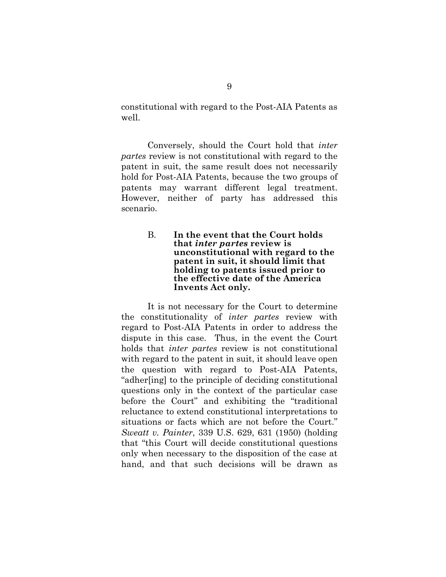constitutional with regard to the Post-AIA Patents as well.

Conversely, should the Court hold that *inter partes* review is not constitutional with regard to the patent in suit, the same result does not necessarily hold for Post-AIA Patents, because the two groups of patents may warrant different legal treatment. However, neither of party has addressed this scenario.

> B. **In the event that the Court holds that** *inter partes* **review is unconstitutional with regard to the patent in suit, it should limit that holding to patents issued prior to the effective date of the America Invents Act only.**

It is not necessary for the Court to determine the constitutionality of *inter partes* review with regard to Post-AIA Patents in order to address the dispute in this case. Thus, in the event the Court holds that *inter partes* review is not constitutional with regard to the patent in suit, it should leave open the question with regard to Post-AIA Patents, "adher[ing] to the principle of deciding constitutional questions only in the context of the particular case before the Court" and exhibiting the "traditional reluctance to extend constitutional interpretations to situations or facts which are not before the Court." *Sweatt v. Painter*, 339 U.S. 629, 631 (1950) (holding that "this Court will decide constitutional questions only when necessary to the disposition of the case at hand, and that such decisions will be drawn as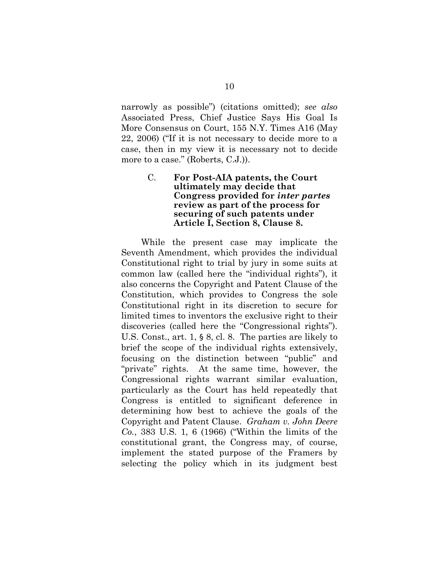narrowly as possible") (citations omitted); *see also* Associated Press, Chief Justice Says His Goal Is More Consensus on Court, 155 N.Y. Times A16 (May 22, 2006) ("If it is not necessary to decide more to a case, then in my view it is necessary not to decide more to a case." (Roberts, C.J.)).

#### C. **For Post-AIA patents, the Court ultimately may decide that Congress provided for** *inter partes* **review as part of the process for securing of such patents under Article I, Section 8, Clause 8.**

While the present case may implicate the Seventh Amendment, which provides the individual Constitutional right to trial by jury in some suits at common law (called here the "individual rights"), it also concerns the Copyright and Patent Clause of the Constitution, which provides to Congress the sole Constitutional right in its discretion to secure for limited times to inventors the exclusive right to their discoveries (called here the "Congressional rights"). U.S. Const., art. 1, § 8, cl. 8. The parties are likely to brief the scope of the individual rights extensively, focusing on the distinction between "public" and "private" rights. At the same time, however, the Congressional rights warrant similar evaluation, particularly as the Court has held repeatedly that Congress is entitled to significant deference in determining how best to achieve the goals of the Copyright and Patent Clause. *Graham v. John Deere Co.*, 383 U.S. 1, 6 (1966) ("Within the limits of the constitutional grant, the Congress may, of course, implement the stated purpose of the Framers by selecting the policy which in its judgment best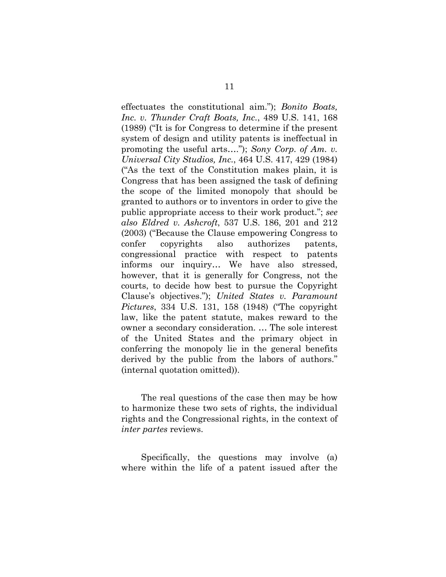effectuates the constitutional aim."); *Bonito Boats, Inc. v. Thunder Craft Boats, Inc.*, 489 U.S. 141, 168 (1989) ("It is for Congress to determine if the present system of design and utility patents is ineffectual in promoting the useful arts…."); *Sony Corp. of Am. v. Universal City Studios, Inc.*, 464 U.S. 417, 429 (1984) ("As the text of the Constitution makes plain, it is Congress that has been assigned the task of defining the scope of the limited monopoly that should be granted to authors or to inventors in order to give the public appropriate access to their work product."; *see also Eldred v. Ashcroft*, 537 U.S. 186, 201 and 212 (2003) ("Because the Clause empowering Congress to confer copyrights also authorizes patents, congressional practice with respect to patents informs our inquiry… We have also stressed, however, that it is generally for Congress, not the courts, to decide how best to pursue the Copyright Clause's objectives."); *United States v. Paramount Pictures*, 334 U.S. 131, 158 (1948) ("The copyright law, like the patent statute, makes reward to the owner a secondary consideration. … The sole interest of the United States and the primary object in conferring the monopoly lie in the general benefits derived by the public from the labors of authors." (internal quotation omitted)).

The real questions of the case then may be how to harmonize these two sets of rights, the individual rights and the Congressional rights, in the context of *inter partes* reviews.

Specifically, the questions may involve (a) where within the life of a patent issued after the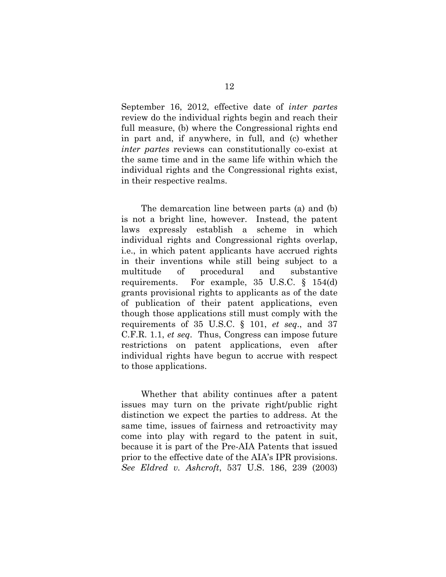September 16, 2012, effective date of *inter partes* review do the individual rights begin and reach their full measure, (b) where the Congressional rights end in part and, if anywhere, in full, and (c) whether *inter partes* reviews can constitutionally co-exist at the same time and in the same life within which the individual rights and the Congressional rights exist, in their respective realms.

The demarcation line between parts (a) and (b) is not a bright line, however. Instead, the patent laws expressly establish a scheme in which individual rights and Congressional rights overlap, i.e., in which patent applicants have accrued rights in their inventions while still being subject to a multitude of procedural and substantive requirements. For example, 35 U.S.C. § 154(d) grants provisional rights to applicants as of the date of publication of their patent applications, even though those applications still must comply with the requirements of 35 U.S.C. § 101, *et seq*., and 37 C.F.R. 1.1, *et seq*. Thus, Congress can impose future restrictions on patent applications, even after individual rights have begun to accrue with respect to those applications.

Whether that ability continues after a patent issues may turn on the private right/public right distinction we expect the parties to address. At the same time, issues of fairness and retroactivity may come into play with regard to the patent in suit, because it is part of the Pre-AIA Patents that issued prior to the effective date of the AIA's IPR provisions. *See Eldred v. Ashcroft*, 537 U.S. 186, 239 (2003)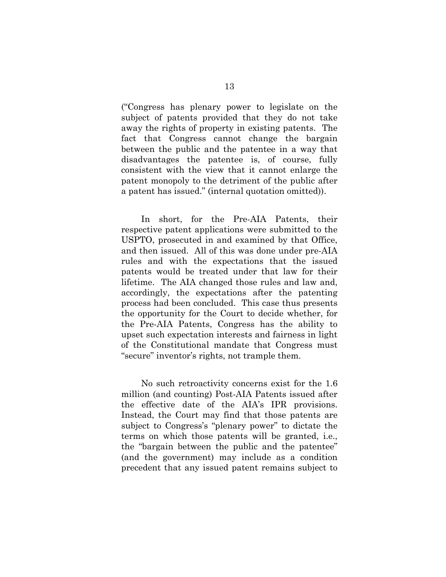("Congress has plenary power to legislate on the subject of patents provided that they do not take away the rights of property in existing patents. The fact that Congress cannot change the bargain between the public and the patentee in a way that disadvantages the patentee is, of course, fully consistent with the view that it cannot enlarge the patent monopoly to the detriment of the public after a patent has issued." (internal quotation omitted)).

In short, for the Pre-AIA Patents, their respective patent applications were submitted to the USPTO, prosecuted in and examined by that Office, and then issued. All of this was done under pre-AIA rules and with the expectations that the issued patents would be treated under that law for their lifetime. The AIA changed those rules and law and, accordingly, the expectations after the patenting process had been concluded. This case thus presents the opportunity for the Court to decide whether, for the Pre-AIA Patents, Congress has the ability to upset such expectation interests and fairness in light of the Constitutional mandate that Congress must "secure" inventor's rights, not trample them.

No such retroactivity concerns exist for the 1.6 million (and counting) Post-AIA Patents issued after the effective date of the AIA's IPR provisions. Instead, the Court may find that those patents are subject to Congress's "plenary power" to dictate the terms on which those patents will be granted, i.e., the "bargain between the public and the patentee" (and the government) may include as a condition precedent that any issued patent remains subject to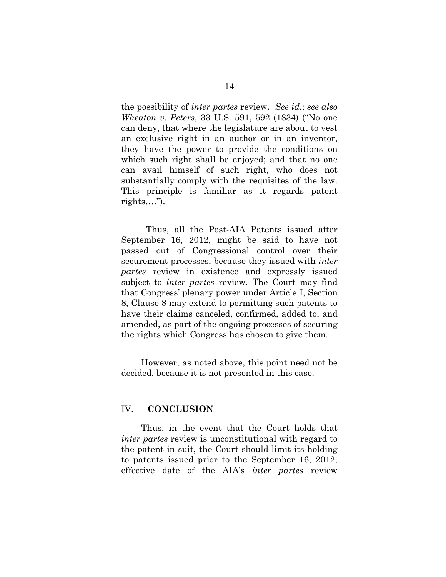the possibility of *inter partes* review. *See id*.; *see also Wheaton v. Peters*, 33 U.S. 591, 592 (1834) ("No one can deny, that where the legislature are about to vest an exclusive right in an author or in an inventor, they have the power to provide the conditions on which such right shall be enjoyed; and that no one can avail himself of such right, who does not substantially comply with the requisites of the law. This principle is familiar as it regards patent rights….").

 Thus, all the Post-AIA Patents issued after September 16, 2012, might be said to have not passed out of Congressional control over their securement processes, because they issued with *inter partes* review in existence and expressly issued subject to *inter partes* review. The Court may find that Congress' plenary power under Article I, Section 8, Clause 8 may extend to permitting such patents to have their claims canceled, confirmed, added to, and amended, as part of the ongoing processes of securing the rights which Congress has chosen to give them.

However, as noted above, this point need not be decided, because it is not presented in this case.

#### IV. **CONCLUSION**

Thus, in the event that the Court holds that *inter partes* review is unconstitutional with regard to the patent in suit, the Court should limit its holding to patents issued prior to the September 16, 2012, effective date of the AIA's *inter partes* review